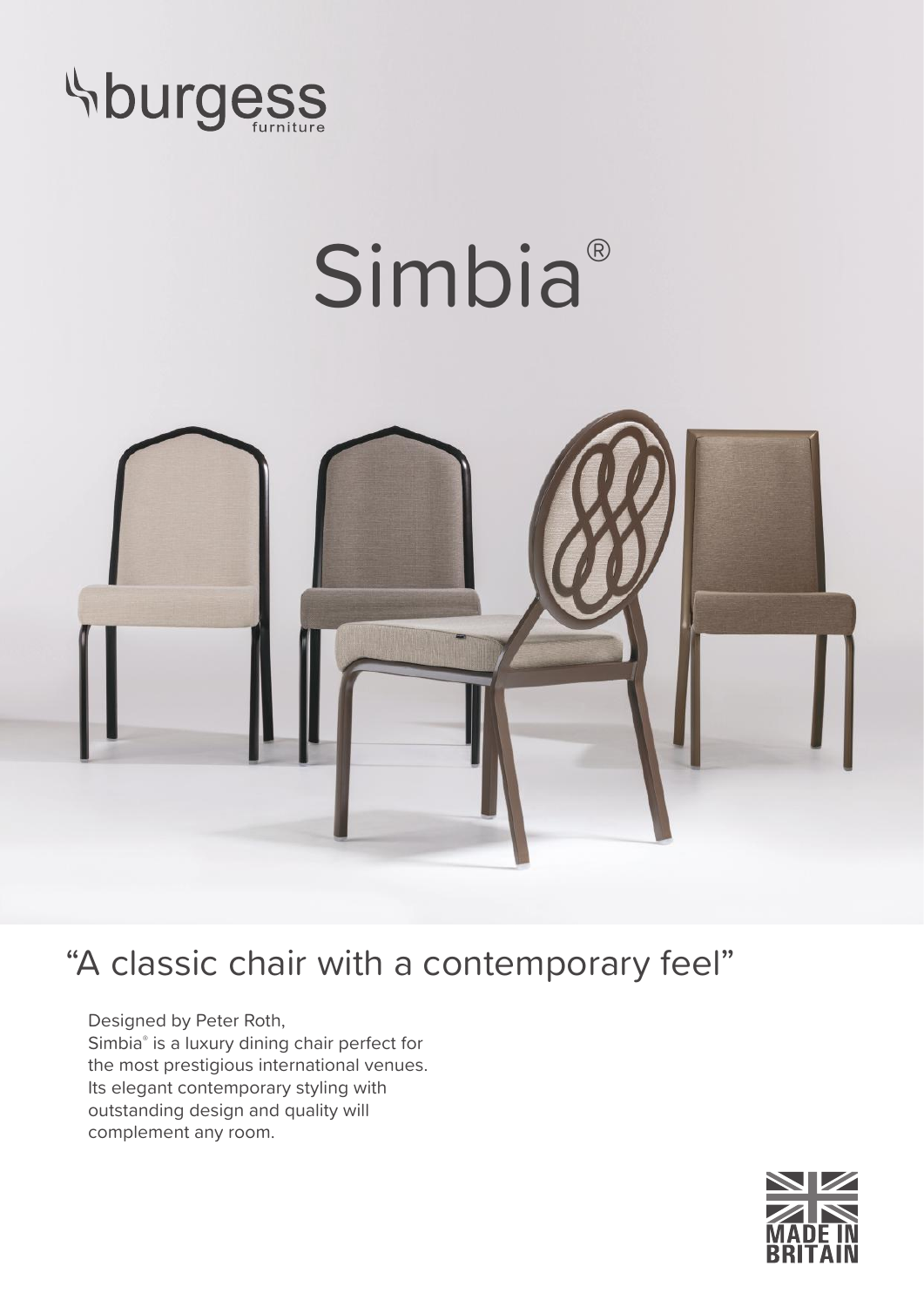

## Simbia<sup>®</sup>



## "A classic chair with a contemporary feel"

Designed by Peter Roth, Simbia® is a luxury dining chair perfect for the most prestigious international venues. Its elegant contemporary styling with outstanding design and quality will complement any room.